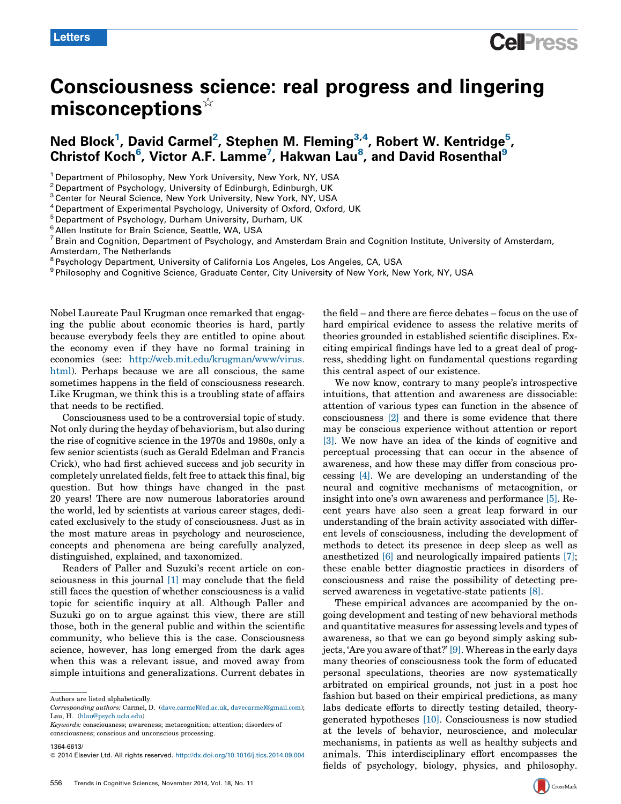# Consciousness science: real progress and lingering misconceptions $\mathbb{R}^{\mathbb{Z}}$

Ned Block<sup>1</sup>, David Carmel<sup>2</sup>, Stephen M. Fleming<sup>3,4</sup>, Robert W. Kentridge<sup>5</sup>, Christof Koch<sup>6</sup>, Victor A.F. Lamme<sup>7</sup>, Hakwan Lau<sup>8</sup>, and David Rosenthal<sup>9</sup>

<sup>1</sup> Department of Philosophy, New York University, New York, NY, USA<br>
<sup>2</sup> Department of Psychology, University of Edinburgh, Edinburgh, UK<br>
<sup>3</sup> Center for Neural Science, New York University, New York, NY, USA<br>
<sup>4</sup> Depart Amsterdam, The Netherlands<br><sup>8</sup> Psychology Department, University of California Los Angeles, Los Angeles, CA, USA<br><sup>9</sup> Philosophy and Cognitive Science, Graduate Center, City University of New York, New York, NY, USA

Nobel Laureate Paul Krugman once remarked that engaging the public about economic theories is hard, partly because everybody feels they are entitled to opine about the economy even if they have no formal training in economics (see: [http://web.mit.edu/krugman/www/virus.](http://web.mit.edu/krugman/www/virus.html) [html](http://web.mit.edu/krugman/www/virus.html)). Perhaps because we are all conscious, the same sometimes happens in the field of consciousness research. Like Krugman, we think this is a troubling state of affairs that needs to be rectified.

Consciousness used to be a controversial topic of study. Not only during the heyday of behaviorism, but also during the rise of cognitive science in the 1970s and 1980s, only a few senior scientists (such as Gerald Edelman and Francis Crick), who had first achieved success and job security in completely unrelated fields, felt free to attack this final, big question. But how things have changed in the past 20 years! There are now numerous laboratories around the world, led by scientists at various career stages, dedicated exclusively to the study of consciousness. Just as in the most mature areas in psychology and neuroscience, concepts and phenomena are being carefully analyzed, distinguished, explained, and taxonomized.

Readers of Paller and Suzuki's recent article on consciousness in this journal [\[1\]](#page-1-0) may conclude that the field still faces the question of whether consciousness is a valid topic for scientific inquiry at all. Although Paller and Suzuki go on to argue against this view, there are still those, both in the general public and within the scientific community, who believe this is the case. Consciousness science, however, has long emerged from the dark ages when this was a relevant issue, and moved away from simple intuitions and generalizations. Current debates in

Keywords: consciousness; awareness; metacognition; attention; disorders of consciousness; conscious and unconscious processing.

1364-6613/

© 2014 Elsevier Ltd. All rights reserved. <http://dx.doi.org/10.1016/j.tics.2014.09.004>

the field – and there are fierce debates – focus on the use of hard empirical evidence to assess the relative merits of theories grounded in established scientific disciplines. Exciting empirical findings have led to a great deal of progress, shedding light on fundamental questions regarding this central aspect of our existence.

We now know, contrary to many people's introspective intuitions, that attention and awareness are dissociable: attention of various types can function in the absence of consciousness [\[2\]](#page-1-0) and there is some evidence that there may be conscious experience without attention or report [\[3\].](#page-1-0) We now have an idea of the kinds of cognitive and perceptual processing that can occur in the absence of awareness, and how these may differ from conscious processing [\[4\]](#page-1-0). We are developing an understanding of the neural and cognitive mechanisms of metacognition, or insight into one's own awareness and performance [\[5\]](#page-1-0). Recent years have also seen a great leap forward in our understanding of the brain activity associated with different levels of consciousness, including the development of methods to detect its presence in deep sleep as well as anesthetized [\[6\]](#page-1-0) and neurologically impaired patients [\[7\]](#page-1-0); these enable better diagnostic practices in disorders of consciousness and raise the possibility of detecting preserved awareness in vegetative-state patients [\[8\].](#page-1-0)

These empirical advances are accompanied by the ongoing development and testing of new behavioral methods and quantitative measures for assessing levels and types of awareness, so that we can go beyond simply asking subjects, 'Are you aware of that?' [\[9\].](#page-1-0) Whereas in the early days many theories of consciousness took the form of educated personal speculations, theories are now systematically arbitrated on empirical grounds, not just in a post hoc fashion but based on their empirical predictions, as many labs dedicate efforts to directly testing detailed, theorygenerated hypotheses [\[10\].](#page-1-0) Consciousness is now studied at the levels of behavior, neuroscience, and molecular mechanisms, in patients as well as healthy subjects and animals. This interdisciplinary effort encompasses the fields of psychology, biology, physics, and philosophy.

Authors are listed alphabetically.

Corresponding authors: Carmel, D. [\(dave.carmel@ed.ac.uk](mailto:dave.carmel@ed.ac.uk), [davecarmel@gmail.com\)](mailto:davecarmel@gmail.com); Lau, H. ([hlau@psych.ucla.edu](mailto:hlau@psych.ucla.edu))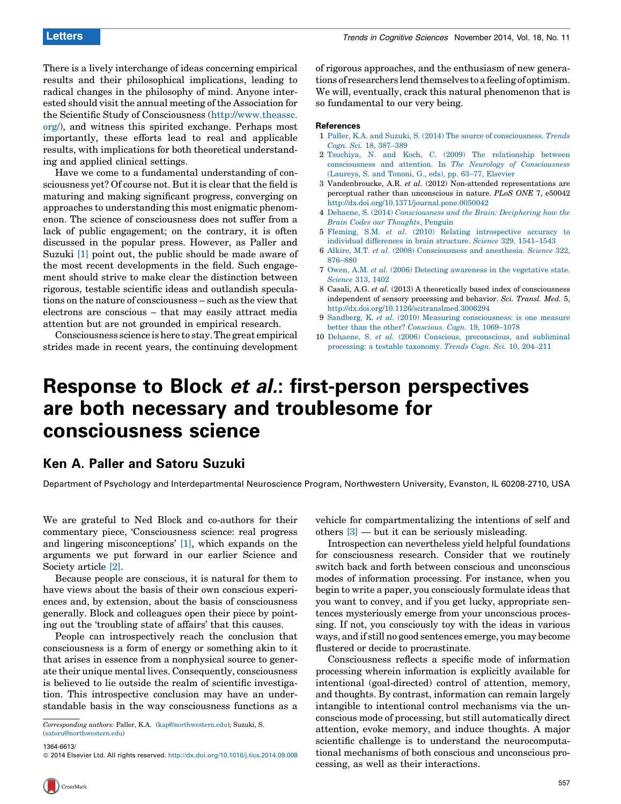<span id="page-1-0"></span>There is a lively interchange of ideas concerning empirical results and their philosophical implications, leading to radical changes in the philosophy of mind. Anyone interested should visit the annual meeting of the Association for the Scientific Study of Consciousness [\(http://www.theassc.](http://www.theassc.org/) [org/\)](http://www.theassc.org/), and witness this spirited exchange. Perhaps most importantly, these efforts lead to real and applicable results, with implications for both theoretical understanding and applied clinical settings.

Have we come to a fundamental understanding of consciousness yet? Of course not. But it is clear that the field is maturing and making significant progress, converging on approaches to understanding this most enigmatic phenomenon. The science of consciousness does not suffer from a lack of public engagement; on the contrary, it is often discussed in the popular press. However, as Paller and Suzuki [1] point out, the public should be made aware of the most recent developments in the field. Such engagement should strive to make clear the distinction between rigorous, testable scientific ideas and outlandish speculations on the nature of consciousness – such as the view that electrons are conscious – that may easily attract media attention but are not grounded in empirical research.

Consciousness science is here to stay.The great empirical strides made in recent years, the continuing development of rigorous approaches, and the enthusiasm of new generations of researchers lend themselves to a feeling of optimism. We will, eventually, crack this natural phenomenon that is so fundamental to our very being.

#### **References**

- 1 Paller, K.A. and Suzuki, S. (2014) The source of [consciousness.](http://refhub.elsevier.com/S1364-6613(14)00205-8/sbref0005) Trends Cogn. Sci. 18, [387–389](http://refhub.elsevier.com/S1364-6613(14)00205-8/sbref0005)
- 2 Tsuchiya, N. and Koch, C. (2009) The [relationship](http://refhub.elsevier.com/S1364-6613(14)00205-8/sbref0010) between consciousness and attention. In The Neurology of [Consciousness](http://refhub.elsevier.com/S1364-6613(14)00205-8/sbref0010) [\(Laureys,](http://refhub.elsevier.com/S1364-6613(14)00205-8/sbref0010) S. and Tononi, G., eds), pp. 63–77, Elsevier
- 3 Vandenbroucke, A.R. et al. (2012) Non-attended representations are perceptual rather than unconscious in nature. PLoS ONE 7, e50042 <http://dx.doi.org/10.1371/journal.pone.0050042>
- 4 Dehaene, S. (2014) [Consciousness](http://refhub.elsevier.com/S1364-6613(14)00205-8/sbref0020) and the Brain: Deciphering how the Brain Codes our [Thoughts](http://refhub.elsevier.com/S1364-6613(14)00205-8/sbref0020), Penguin
- 5 Fleming, S.M. et al. (2010) Relating [introspective](http://refhub.elsevier.com/S1364-6613(14)00205-8/sbref0025) accuracy to individual [differences](http://refhub.elsevier.com/S1364-6613(14)00205-8/sbref0025) in brain structure. Science 329, 1541–1543
- 6 Alkire, M.T. et al. (2008) [Consciousness](http://refhub.elsevier.com/S1364-6613(14)00205-8/sbref0030) and anesthesia. Science 322, [876–880](http://refhub.elsevier.com/S1364-6613(14)00205-8/sbref0030)
- 7 Owen, A.M. et al. (2006) Detecting [awareness](http://refhub.elsevier.com/S1364-6613(14)00205-8/sbref0035) in the vegetative state. [Science](http://refhub.elsevier.com/S1364-6613(14)00205-8/sbref0035) 313, 1402
- 8 Casali, A.G. et al. (2013) A theoretically based index of consciousness independent of sensory processing and behavior. Sci. Transl. Med. 5, <http://dx.doi.org/10.1126/scitranslmed.3006294>
- 9 Sandberg, K. et al. (2010) Measuring [consciousness:](http://refhub.elsevier.com/S1364-6613(14)00205-8/sbref0045) is one measure better than the other? Conscious. Cogn. 19, [1069–1078](http://refhub.elsevier.com/S1364-6613(14)00205-8/sbref0045)
- 10 Dehaene, S. et al. (2006) Conscious, [preconscious,](http://refhub.elsevier.com/S1364-6613(14)00205-8/sbref0050) and subliminal [processing:](http://refhub.elsevier.com/S1364-6613(14)00205-8/sbref0050) a testable taxonomy. Trends Cogn. Sci. 10, 204–211

# Response to Block et al.: first-person perspectives are both necessary and troublesome for consciousness science

### Ken A. Paller and Satoru Suzuki

Department of Psychology and Interdepartmental Neuroscience Program, Northwestern University, Evanston, IL 60208-2710, USA

We are grateful to Ned Block and co-authors for their commentary piece, 'Consciousness science: real progress and lingering misconceptions' [\[1\]](#page--1-0), which expands on the arguments we put forward in our earlier Science and Society article [\[2\]](#page--1-0).

Because people are conscious, it is natural for them to have views about the basis of their own conscious experiences and, by extension, about the basis of consciousness generally. Block and colleagues open their piece by pointing out the 'troubling state of affairs' that this causes.

People can introspectively reach the conclusion that consciousness is a form of energy or something akin to it that arises in essence from a nonphysical source to generate their unique mental lives. Consequently, consciousness is believed to lie outside the realm of scientific investigation. This introspective conclusion may have an understandable basis in the way consciousness functions as a

Corresponding authors: Paller, K.A. ([kap@northwestern.edu](mailto:kap@northwestern.edu)); Suzuki, S. ([satoru@northwestern.edu\)](mailto:satoru@northwestern.edu)

1364-6613/

© 2014 Elsevier Ltd. All rights reserved. <http://dx.doi.org/10.1016/j.tics.2014.09.008>

vehicle for compartmentalizing the intentions of self and others [\[3\]](#page--1-0) — but it can be seriously misleading.

Introspection can nevertheless yield helpful foundations for consciousness research. Consider that we routinely switch back and forth between conscious and unconscious modes of information processing. For instance, when you begin to write a paper, you consciously formulate ideas that you want to convey, and if you get lucky, appropriate sentences mysteriously emerge from your unconscious processing. If not, you consciously toy with the ideas in various ways, and if still no good sentences emerge, you may become flustered or decide to procrastinate.

Consciousness reflects a specific mode of information processing wherein information is explicitly available for intentional (goal-directed) control of attention, memory, and thoughts. By contrast, information can remain largely intangible to intentional control mechanisms via the unconscious mode of processing, but still automatically direct attention, evoke memory, and induce thoughts. A major scientific challenge is to understand the neurocomputational mechanisms of both conscious and unconscious processing, as well as their interactions.